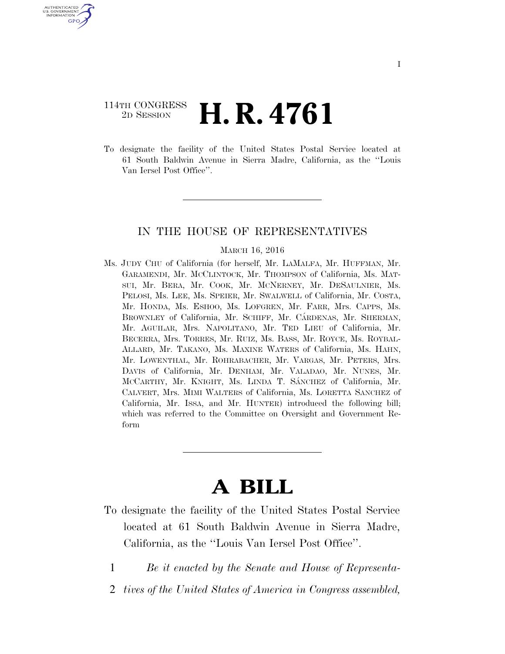# 114TH CONGRESS <sup>2D SESSION</sup> **H. R. 4761**

U.S. GOVERNMENT GPO

> To designate the facility of the United States Postal Service located at 61 South Baldwin Avenue in Sierra Madre, California, as the ''Louis Van Iersel Post Office''.

## IN THE HOUSE OF REPRESENTATIVES

#### MARCH 16, 2016

Ms. JUDY CHU of California (for herself, Mr. LAMALFA, Mr. HUFFMAN, Mr. GARAMENDI, Mr. MCCLINTOCK, Mr. THOMPSON of California, Ms. MAT-SUI, Mr. BERA, Mr. COOK, Mr. MCNERNEY, Mr. DESAULNIER, Ms. PELOSI, Ms. LEE, Ms. SPEIER, Mr. SWALWELL of California, Mr. COSTA, Mr. HONDA, Ms. ESHOO, Ms. LOFGREN, Mr. FARR, Mrs. CAPPS, Ms. BROWNLEY of California, Mr. SCHIFF, Mr. CÁRDENAS, Mr. SHERMAN, Mr. AGUILAR, Mrs. NAPOLITANO, Mr. TED LIEU of California, Mr. BECERRA, Mrs. TORRES, Mr. RUIZ, Ms. BASS, Mr. ROYCE, Ms. ROYBAL-ALLARD, Mr. TAKANO, Ms. MAXINE WATERS of California, Ms. HAHN, Mr. LOWENTHAL, Mr. ROHRABACHER, Mr. VARGAS, Mr. PETERS, Mrs. DAVIS of California, Mr. DENHAM, Mr. VALADAO, Mr. NUNES, Mr. MCCARTHY, Mr. KNIGHT, Ms. LINDA T. SÁNCHEZ of California, Mr. CALVERT, Mrs. MIMI WALTERS of California, Ms. LORETTA SANCHEZ of California, Mr. ISSA, and Mr. HUNTER) introduced the following bill; which was referred to the Committee on Oversight and Government Reform

# **A BILL**

- To designate the facility of the United States Postal Service located at 61 South Baldwin Avenue in Sierra Madre, California, as the ''Louis Van Iersel Post Office''.
	- 1 *Be it enacted by the Senate and House of Representa-*
	- 2 *tives of the United States of America in Congress assembled,*